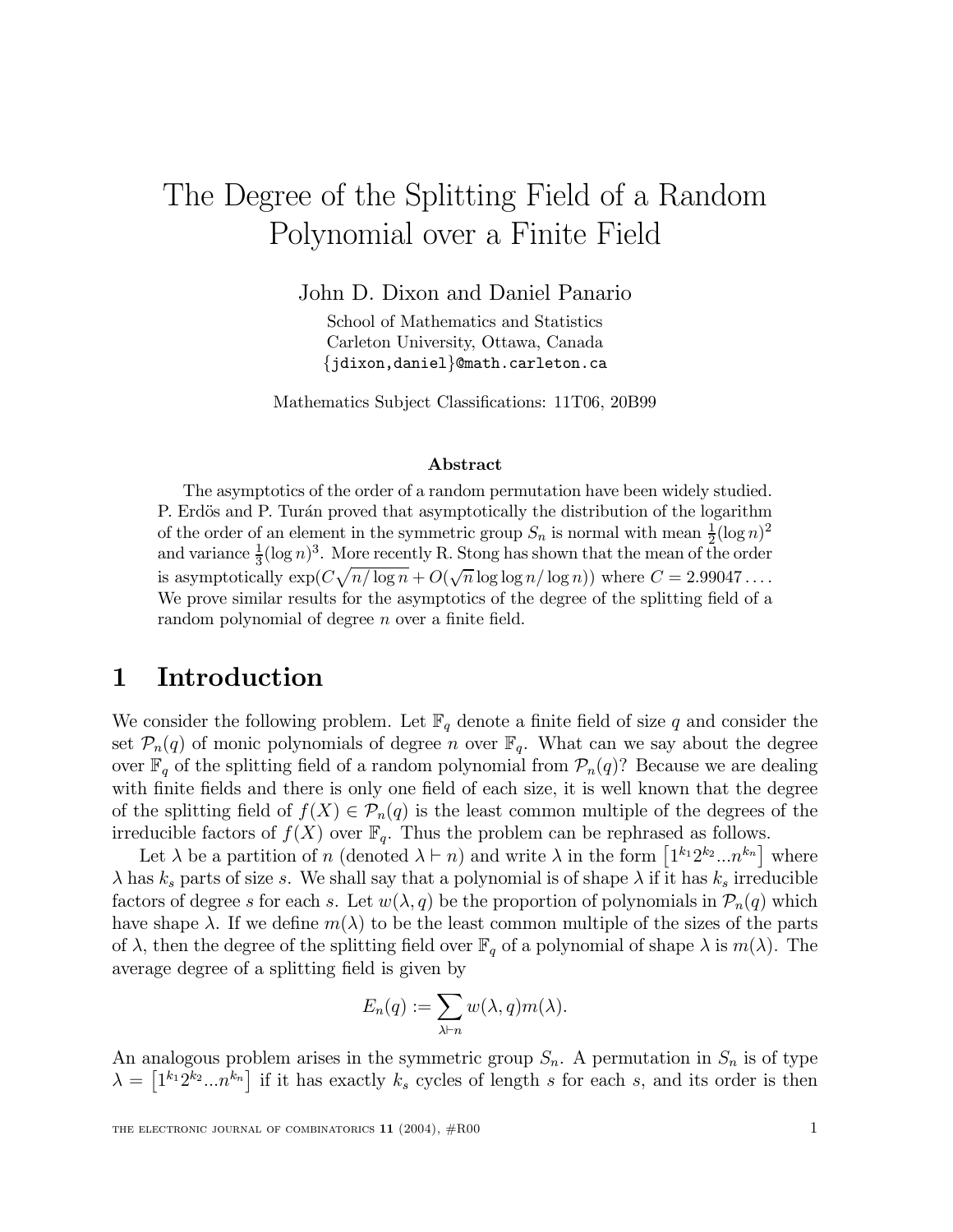# The Degree of the Splitting Field of a Random Polynomial over a Finite Field

John D. Dixon and Daniel Panario

School of Mathematics and Statistics Carleton University, Ottawa, Canada {jdixon,daniel}@math.carleton.ca

Mathematics Subject Classifications: 11T06, 20B99

#### Abstract

The asymptotics of the order of a random permutation have been widely studied. P. Erdös and P. Turán proved that asymptotically the distribution of the logarithm of the order of an element in the symmetric group  $S_n$  is normal with mean  $\frac{1}{2}$  $\frac{1}{2}(\log n)^2$ and variance  $\frac{1}{3}$  $\frac{1}{3}(\log n)^3$ . More recently R. Stong has shown that the mean of the order is asymptotically  $\exp(C\sqrt{n/\log n} + O(\sqrt{n}\log\log n/\log n))$  where  $C = 2.99047...$ We prove similar results for the asymptotics of the degree of the splitting field of a random polynomial of degree  $n$  over a finite field.

#### 1 Introduction

We consider the following problem. Let  $\mathbb{F}_q$  denote a finite field of size q and consider the set  $\mathcal{P}_n(q)$  of monic polynomials of degree n over  $\mathbb{F}_q$ . What can we say about the degree over  $\mathbb{F}_q$  of the splitting field of a random polynomial from  $\mathcal{P}_n(q)$ ? Because we are dealing with finite fields and there is only one field of each size, it is well known that the degree of the splitting field of  $f(X) \in \mathcal{P}_n(q)$  is the least common multiple of the degrees of the irreducible factors of  $f(X)$  over  $\mathbb{F}_q$ . Thus the problem can be rephrased as follows.

Let  $\lambda$  be a partition of n (denoted  $\lambda \vdash n$ ) and write  $\lambda$  in the form  $[1^{k_1}2^{k_2}...n^{k_n}]$  where  $\lambda$  has  $k_s$  parts of size s. We shall say that a polynomial is of shape  $\lambda$  if it has  $k_s$  irreducible factors of degree s for each s. Let  $w(\lambda, q)$  be the proportion of polynomials in  $\mathcal{P}_n(q)$  which have shape  $\lambda$ . If we define  $m(\lambda)$  to be the least common multiple of the sizes of the parts of  $\lambda$ , then the degree of the splitting field over  $\mathbb{F}_q$  of a polynomial of shape  $\lambda$  is  $m(\lambda)$ . The average degree of a splitting field is given by

$$
E_n(q) := \sum_{\lambda \vdash n} w(\lambda, q) m(\lambda).
$$

An analogous problem arises in the symmetric group  $S_n$ . A permutation in  $S_n$  is of type  $\lambda = \left[1^{k_1}2^{k_2}...n^{k_n}\right]$  if it has exactly  $k_s$  cycles of length s for each s, and its order is then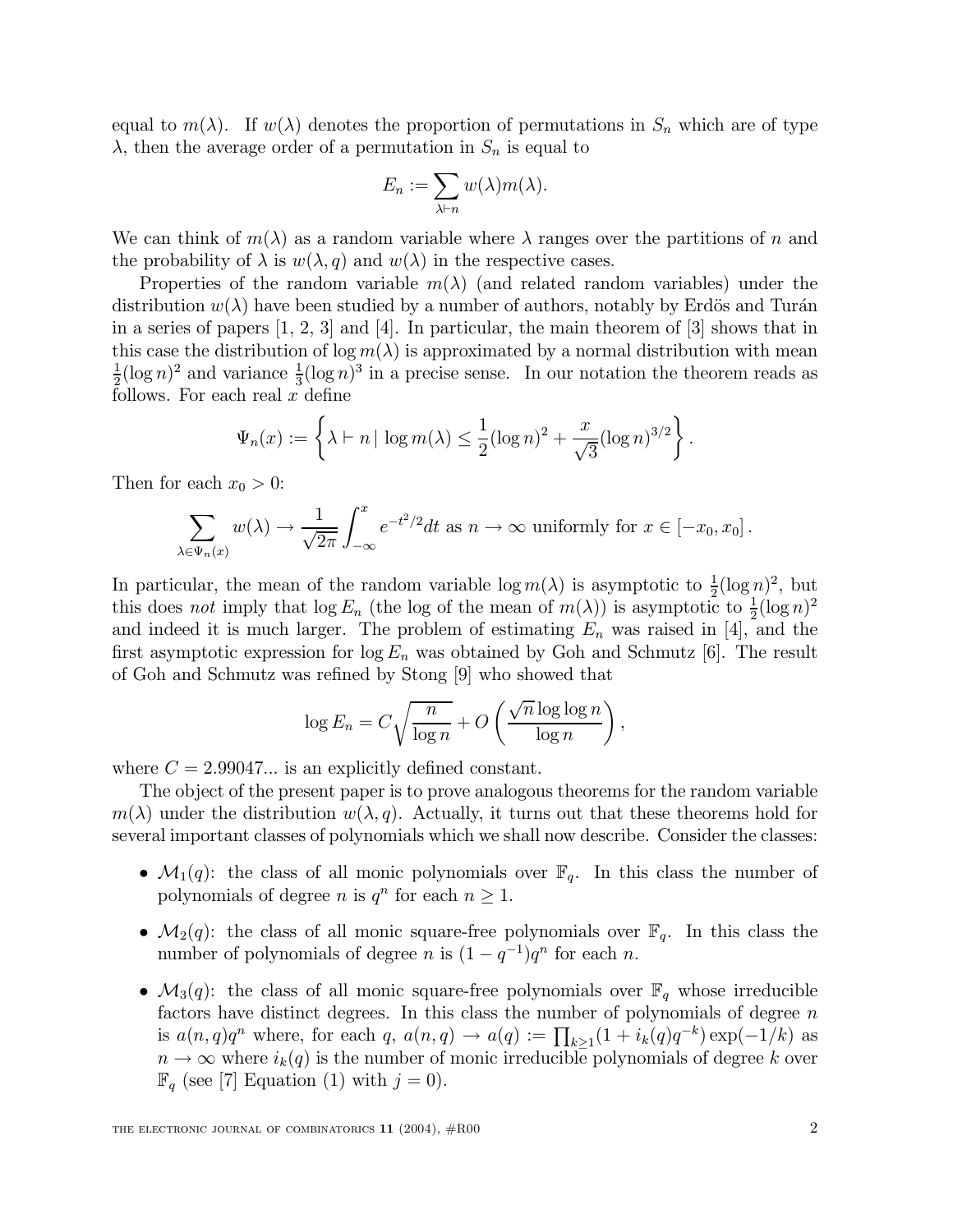equal to  $m(\lambda)$ . If  $w(\lambda)$  denotes the proportion of permutations in  $S_n$  which are of type  $\lambda$ , then the average order of a permutation in  $S_n$  is equal to

$$
E_n := \sum_{\lambda \vdash n} w(\lambda) m(\lambda).
$$

We can think of  $m(\lambda)$  as a random variable where  $\lambda$  ranges over the partitions of n and the probability of  $\lambda$  is  $w(\lambda, q)$  and  $w(\lambda)$  in the respective cases.

Properties of the random variable  $m(\lambda)$  (and related random variables) under the distribution  $w(\lambda)$  have been studied by a number of authors, notably by Erdös and Turán in a series of papers  $[1, 2, 3]$  and  $[4]$ . In particular, the main theorem of  $[3]$  shows that in this case the distribution of  $\log m(\lambda)$  is approximated by a normal distribution with mean 1  $\frac{1}{2}(\log n)^2$  and variance  $\frac{1}{3}$  $\frac{1}{3}(\log n)^3$  in a precise sense. In our notation the theorem reads as follows. For each real  $x$  define

$$
\Psi_n(x) := \left\{ \lambda \vdash n \mid \log m(\lambda) \leq \frac{1}{2} (\log n)^2 + \frac{x}{\sqrt{3}} (\log n)^{3/2} \right\}.
$$

Then for each  $x_0 > 0$ :

$$
\sum_{\lambda \in \Psi_n(x)} w(\lambda) \to \frac{1}{\sqrt{2\pi}} \int_{-\infty}^x e^{-t^2/2} dt \text{ as } n \to \infty \text{ uniformly for } x \in [-x_0, x_0].
$$

In particular, the mean of the random variable  $\log m(\lambda)$  is asymptotic to  $\frac{1}{2}$  $\frac{1}{2}(\log n)^2$ , but this does not imply that  $\log E_n$  (the log of the mean of  $m(\lambda)$ ) is asymptotic to  $\frac{1}{2}$  $\frac{1}{2}(\log n)^2$ and indeed it is much larger. The problem of estimating  $E_n$  was raised in [4], and the first asymptotic expression for  $\log E_n$  was obtained by Goh and Schmutz [6]. The result of Goh and Schmutz was refined by Stong [9] who showed that

$$
\log E_n = C \sqrt{\frac{n}{\log n}} + O\left(\frac{\sqrt{n} \log \log n}{\log n}\right),\,
$$

where  $C = 2.99047...$  is an explicitly defined constant.

The object of the present paper is to prove analogous theorems for the random variable  $m(\lambda)$  under the distribution  $w(\lambda, q)$ . Actually, it turns out that these theorems hold for several important classes of polynomials which we shall now describe. Consider the classes:

- $\mathcal{M}_1(q)$ : the class of all monic polynomials over  $\mathbb{F}_q$ . In this class the number of polynomials of degree *n* is  $q^n$  for each  $n \geq 1$ .
- $\mathcal{M}_2(q)$ : the class of all monic square-free polynomials over  $\mathbb{F}_q$ . In this class the number of polynomials of degree *n* is  $(1 - q^{-1})q^n$  for each *n*.
- $\mathcal{M}_3(q)$ : the class of all monic square-free polynomials over  $\mathbb{F}_q$  whose irreducible factors have distinct degrees. In this class the number of polynomials of degree  $n$ is  $a(n,q)q^n$  where, for each  $q$ ,  $a(n,q) \rightarrow a(q) := \prod_{k \geq 1} (1 + i_k(q)q^{-k}) \exp(-1/k)$  as  $n \to \infty$  where  $i_k(q)$  is the number of monic irreducible polynomials of degree k over  $\mathbb{F}_q$  (see [7] Equation (1) with  $j = 0$ ).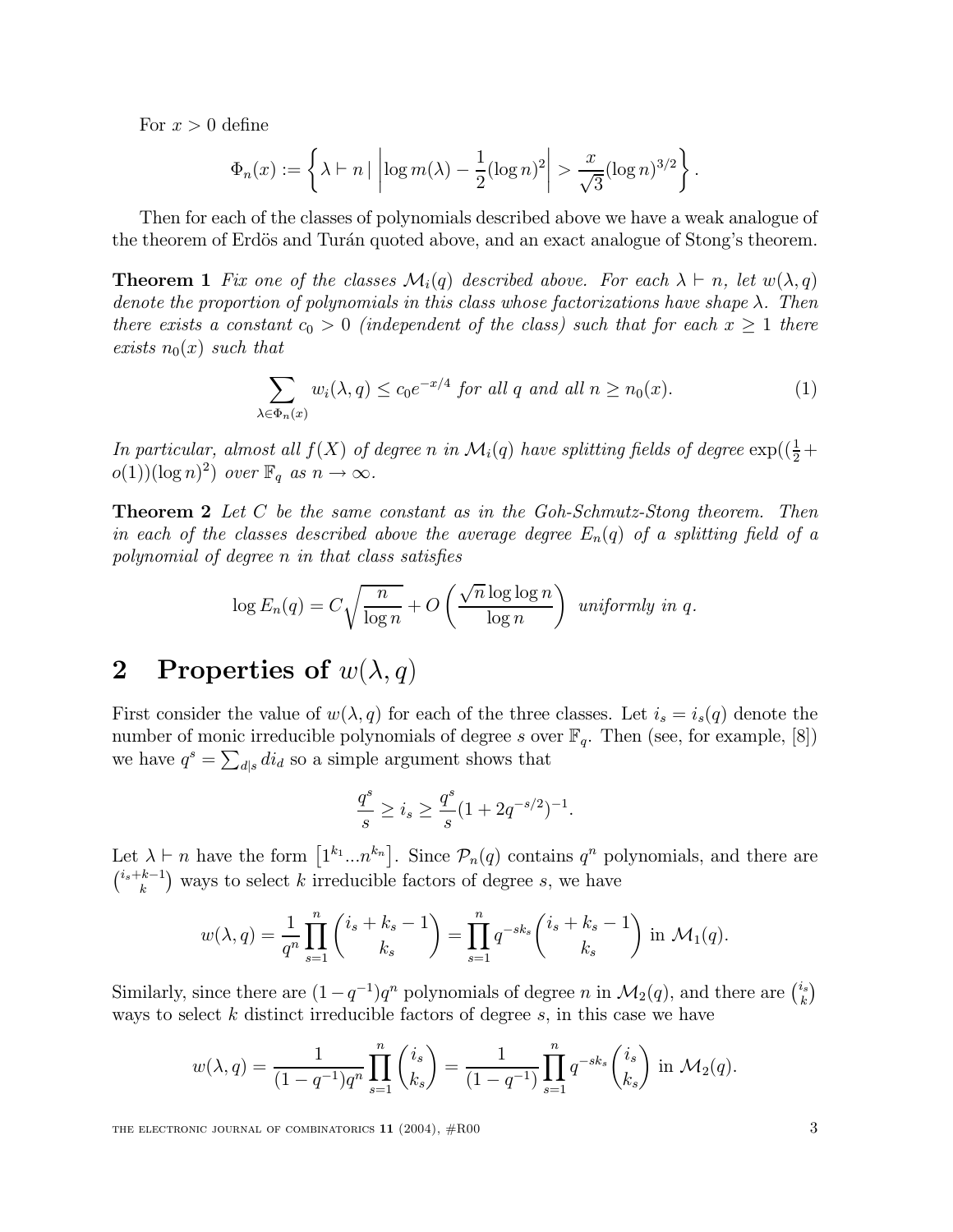For  $x > 0$  define

$$
\Phi_n(x) := \left\{ \lambda \vdash n \mid \left| \log m(\lambda) - \frac{1}{2} (\log n)^2 \right| > \frac{x}{\sqrt{3}} (\log n)^{3/2} \right\}.
$$

Then for each of the classes of polynomials described above we have a weak analogue of the theorem of Erdös and Turán quoted above, and an exact analogue of Stong's theorem.

**Theorem 1** Fix one of the classes  $\mathcal{M}_i(q)$  described above. For each  $\lambda \vdash n$ , let  $w(\lambda, q)$ denote the proportion of polynomials in this class whose factorizations have shape  $\lambda$ . Then there exists a constant  $c_0 > 0$  (independent of the class) such that for each  $x \ge 1$  there exists  $n_0(x)$  such that

$$
\sum_{\lambda \in \Phi_n(x)} w_i(\lambda, q) \le c_0 e^{-x/4} \text{ for all } q \text{ and all } n \ge n_0(x). \tag{1}
$$

In particular, almost all  $f(X)$  of degree n in  $\mathcal{M}_i(q)$  have splitting fields of degree  $\exp((\frac{1}{2} +$  $o(1))(\log n)^2$  over  $\mathbb{F}_q$  as  $n \to \infty$ .

Theorem 2 Let C be the same constant as in the Goh-Schmutz-Stong theorem. Then in each of the classes described above the average degree  $E_n(q)$  of a splitting field of a polynomial of degree  $n$  in that class satisfies

$$
\log E_n(q) = C \sqrt{\frac{n}{\log n}} + O\left(\frac{\sqrt{n} \log \log n}{\log n}\right) \text{ uniformly in } q.
$$

# 2 Properties of  $w(\lambda, q)$

First consider the value of  $w(\lambda, q)$  for each of the three classes. Let  $i_s = i_s(q)$  denote the number of monic irreducible polynomials of degree s over  $\mathbb{F}_q$ . Then (see, for example, [8]) we have  $q^s = \sum_{d|s} di_d$  so a simple argument shows that

$$
\frac{q^s}{s} \ge i_s \ge \frac{q^s}{s}(1 + 2q^{-s/2})^{-1}.
$$

Let  $\lambda \vdash n$  have the form  $[1^{k_1}...n^{k_n}]$ . Since  $\mathcal{P}_n(q)$  contains  $q^n$  polynomials, and there are  $\binom{i_s+k-1}{k}$  ways to select k irreducible factors of degree s, we have

$$
w(\lambda, q) = \frac{1}{q^n} \prod_{s=1}^n {i_s + k_s - 1 \choose k_s} = \prod_{s=1}^n q^{-sk_s} {i_s + k_s - 1 \choose k_s} \text{ in } \mathcal{M}_1(q).
$$

Similarly, since there are  $(1-q^{-1})q^n$  polynomials of degree n in  $\mathcal{M}_2(q)$ , and there are  $\binom{i_s}{k}$  $_{k}^{i_{s}})$ ways to select  $k$  distinct irreducible factors of degree  $s$ , in this case we have

$$
w(\lambda, q) = \frac{1}{(1 - q^{-1})q^n} \prod_{s=1}^n {i_s \choose k_s} = \frac{1}{(1 - q^{-1})} \prod_{s=1}^n q^{-sk_s} {i_s \choose k_s} \text{ in } \mathcal{M}_2(q).
$$

THE ELECTRONIC JOURNAL OF COMBINATORICS  $11$  (2004),  $#R00$  3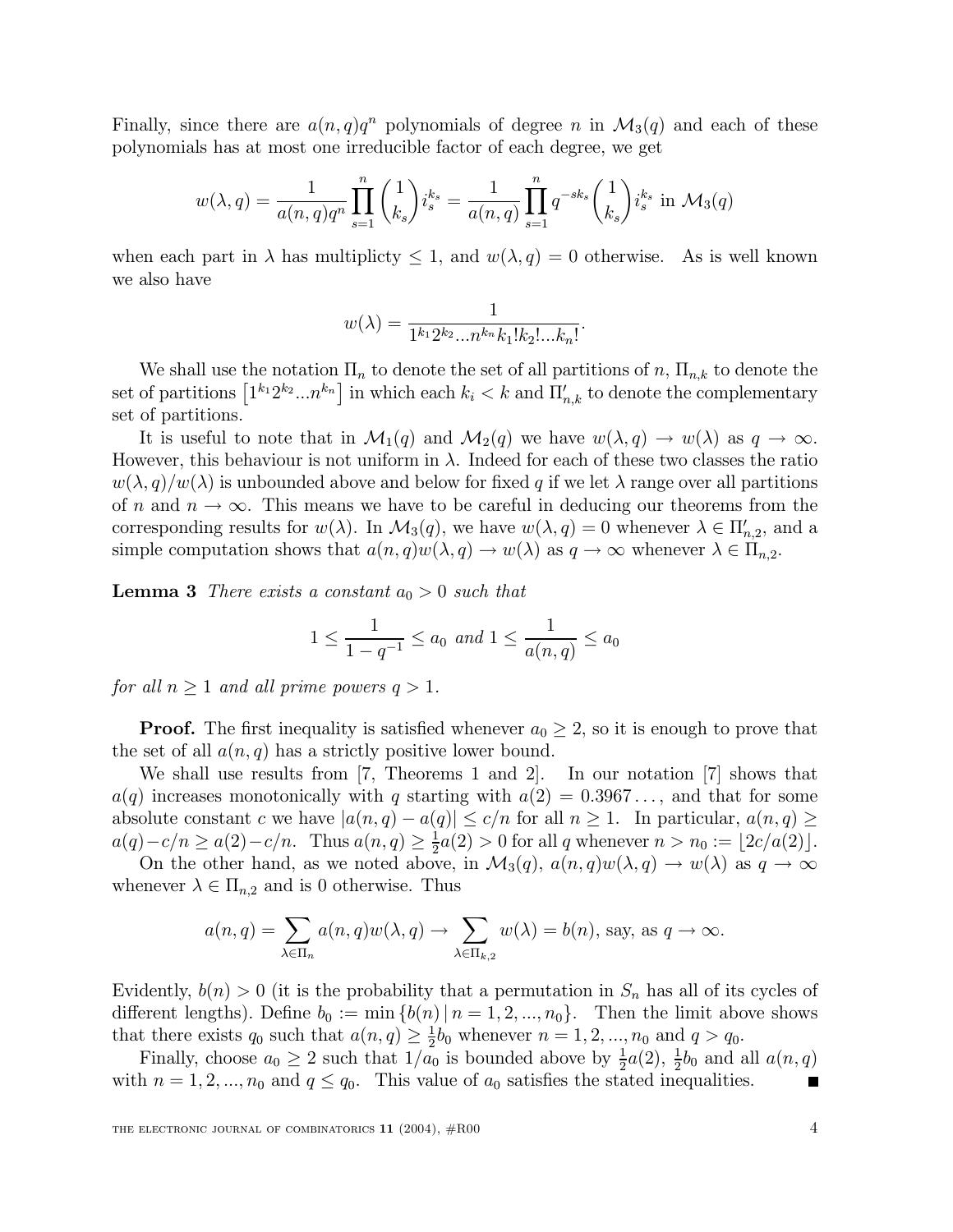Finally, since there are  $a(n,q)q^n$  polynomials of degree n in  $\mathcal{M}_3(q)$  and each of these polynomials has at most one irreducible factor of each degree, we get

$$
w(\lambda, q) = \frac{1}{a(n, q)q^n} \prod_{s=1}^n {1 \choose k_s} i_s^{k_s} = \frac{1}{a(n, q)} \prod_{s=1}^n q^{-sk_s} {1 \choose k_s} i_s^{k_s} \text{ in } \mathcal{M}_3(q)
$$

when each part in  $\lambda$  has multiplicty  $\leq 1$ , and  $w(\lambda, q) = 0$  otherwise. As is well known we also have

$$
w(\lambda) = \frac{1}{1^{k_1} 2^{k_2} \dots n^{k_n} k_1! k_2! \dots k_n!}.
$$

We shall use the notation  $\Pi_n$  to denote the set of all partitions of n,  $\Pi_{n,k}$  to denote the set of partitions  $\left[1^{k_1}2^{k_2}...n^{k_n}\right]$  in which each  $k_i < k$  and  $\overline{\Pi}'_{n,k}$  to denote the complementary set of partitions.

It is useful to note that in  $\mathcal{M}_1(q)$  and  $\mathcal{M}_2(q)$  we have  $w(\lambda, q) \to w(\lambda)$  as  $q \to \infty$ . However, this behaviour is not uniform in  $\lambda$ . Indeed for each of these two classes the ratio  $w(\lambda, q)/w(\lambda)$  is unbounded above and below for fixed q if we let  $\lambda$  range over all partitions of n and  $n \to \infty$ . This means we have to be careful in deducing our theorems from the corresponding results for  $w(\lambda)$ . In  $\mathcal{M}_3(q)$ , we have  $w(\lambda, q) = 0$  whenever  $\lambda \in \Pi'_{n,2}$ , and a simple computation shows that  $a(n,q)w(\lambda,q) \to w(\lambda)$  as  $q \to \infty$  whenever  $\lambda \in \Pi_{n,2}$ .

**Lemma 3** There exists a constant  $a_0 > 0$  such that

$$
1 \le \frac{1}{1 - q^{-1}} \le a_0 \text{ and } 1 \le \frac{1}{a(n, q)} \le a_0
$$

for all  $n \geq 1$  and all prime powers  $q > 1$ .

**Proof.** The first inequality is satisfied whenever  $a_0 \geq 2$ , so it is enough to prove that the set of all  $a(n, q)$  has a strictly positive lower bound.

We shall use results from [7, Theorems 1 and 2]. In our notation [7] shows that  $a(q)$  increases monotonically with q starting with  $a(2) = 0.3967...$ , and that for some absolute constant c we have  $|a(n, q) - a(q)| \leq c/n$  for all  $n \geq 1$ . In particular,  $a(n, q) \geq$  $a(q) - c/n \ge a(2) - c/n$ . Thus  $a(n,q) \ge \frac{1}{2}$  $\frac{1}{2}a(2) > 0$  for all q whenever  $n > n_0 := [2c/a(2)].$ 

On the other hand, as we noted above, in  $\mathcal{M}_3(q)$ ,  $a(n,q)w(\lambda,q) \to w(\lambda)$  as  $q \to \infty$ whenever  $\lambda \in \Pi_{n,2}$  and is 0 otherwise. Thus

$$
a(n,q) = \sum_{\lambda \in \Pi_n} a(n,q) w(\lambda, q) \to \sum_{\lambda \in \Pi_{k,2}} w(\lambda) = b(n), \text{ say, as } q \to \infty.
$$

Evidently,  $b(n) > 0$  (it is the probability that a permutation in  $S_n$  has all of its cycles of different lengths). Define  $b_0 := \min \{b(n) | n = 1, 2, ..., n_0\}$ . Then the limit above shows that there exists  $q_0$  such that  $a(n,q) \geq \frac{1}{2}$  $\frac{1}{2}b_0$  whenever  $n = 1, 2, ..., n_0$  and  $q > q_0$ .

Finally, choose  $a_0 \geq 2$  such that  $1/a_0$  is bounded above by  $\frac{1}{2}$  $\frac{1}{2}a(2), \frac{1}{2}$  $\frac{1}{2}b_0$  and all  $a(n,q)$ with  $n = 1, 2, ..., n_0$  and  $q \leq q_0$ . This value of  $a_0$  satisfies the stated inequalities.  $\blacksquare$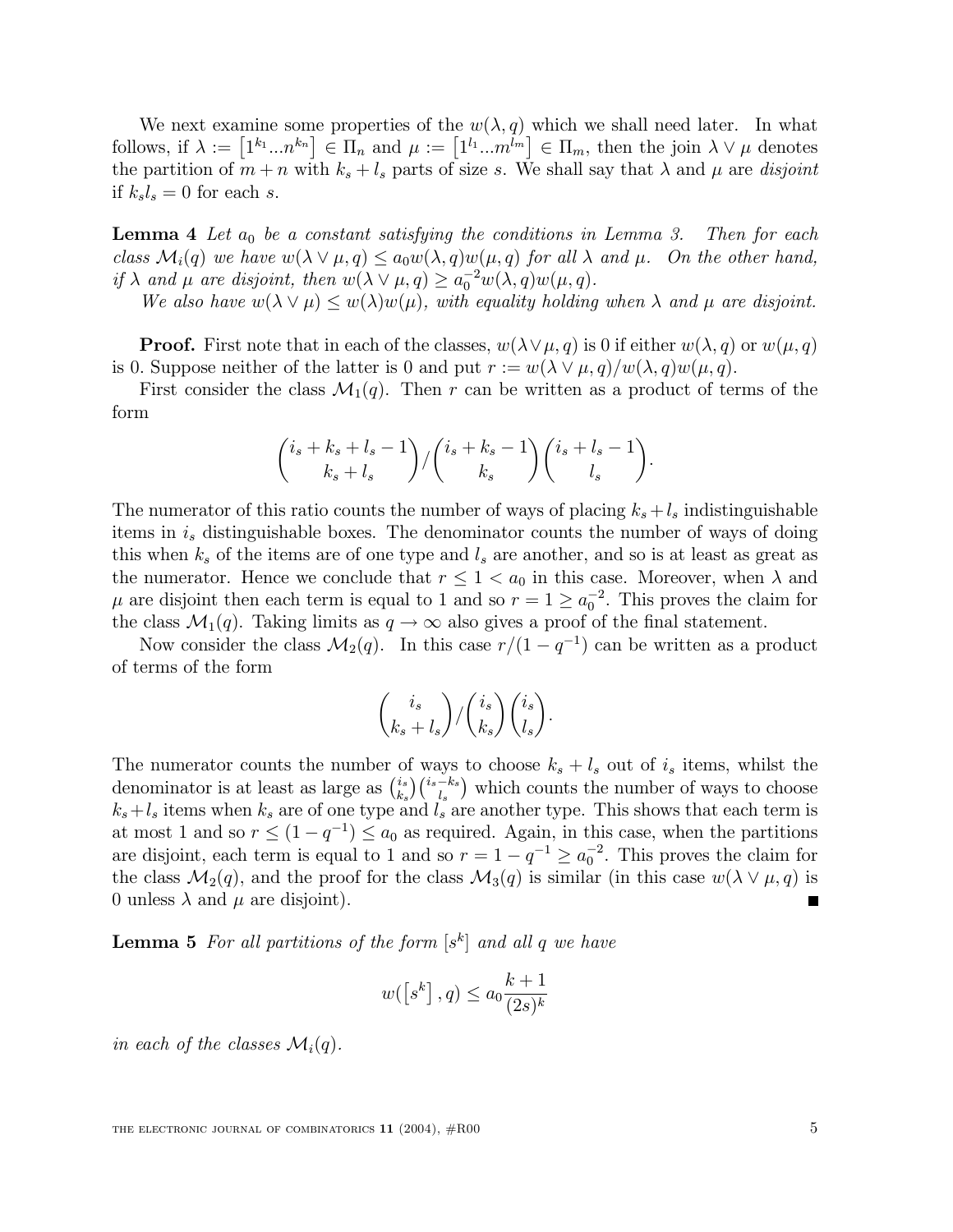We next examine some properties of the  $w(\lambda, q)$  which we shall need later. In what follows, if  $\lambda := [1^{k_1} ... n^{k_n}] \in \Pi_n$  and  $\mu := [1^{l_1} ... m^{\overline{l_m}}] \in \Pi_m$ , then the join  $\lambda \vee \mu$  denotes the partition of  $m + n$  with  $k_s + l_s$  parts of size s. We shall say that  $\lambda$  and  $\mu$  are disjoint if  $k_s l_s = 0$  for each s.

**Lemma 4** Let  $a_0$  be a constant satisfying the conditions in Lemma 3. Then for each class  $\mathcal{M}_i(q)$  we have  $w(\lambda \vee \mu, q) \leq a_0 w(\lambda, q)w(\mu, q)$  for all  $\lambda$  and  $\mu$ . On the other hand, if  $\lambda$  and  $\mu$  are disjoint, then  $w(\lambda \vee \mu, q) \ge a_0^{-2}w(\lambda, q)w(\mu, q)$ .

We also have  $w(\lambda \vee \mu) \leq w(\lambda)w(\mu)$ , with equality holding when  $\lambda$  and  $\mu$  are disjoint.

**Proof.** First note that in each of the classes,  $w(\lambda \vee \mu, q)$  is 0 if either  $w(\lambda, q)$  or  $w(\mu, q)$ is 0. Suppose neither of the latter is 0 and put  $r := w(\lambda \vee \mu, q)/w(\lambda, q)w(\mu, q)$ .

First consider the class  $\mathcal{M}_1(q)$ . Then r can be written as a product of terms of the form

$$
\binom{i_s+k_s+l_s-1}{k_s+l_s}/\binom{i_s+k_s-1}{k_s}\binom{i_s+l_s-1}{l_s}.
$$

The numerator of this ratio counts the number of ways of placing  $k_s + l_s$  indistinguishable items in  $i_s$  distinguishable boxes. The denominator counts the number of ways of doing this when  $k_s$  of the items are of one type and  $l_s$  are another, and so is at least as great as the numerator. Hence we conclude that  $r \leq 1 < a_0$  in this case. Moreover, when  $\lambda$  and  $\mu$  are disjoint then each term is equal to 1 and so  $r = 1 \ge a_0^{-2}$ . This proves the claim for the class  $\mathcal{M}_1(q)$ . Taking limits as  $q \to \infty$  also gives a proof of the final statement.

Now consider the class  $\mathcal{M}_2(q)$ . In this case  $r/(1 - q^{-1})$  can be written as a product of terms of the form

$$
\binom{i_s}{k_s+l_s}/\binom{i_s}{k_s}\binom{i_s}{l_s}.
$$

The numerator counts the number of ways to choose  $k_s + l_s$  out of  $i_s$  items, whilst the denominator is at least as large as  $\binom{i_s}{k_s}$  ${k_s \choose k_s} {i_s - k_s \choose l_s}$  which counts the number of ways to choose  $k_s+l_s$  items when  $k_s$  are of one type and  $l_s$  are another type. This shows that each term is at most 1 and so  $r \leq (1 - q^{-1}) \leq a_0$  as required. Again, in this case, when the partitions are disjoint, each term is equal to 1 and so  $r = 1 - q^{-1} \ge a_0^{-2}$ . This proves the claim for the class  $\mathcal{M}_2(q)$ , and the proof for the class  $\mathcal{M}_3(q)$  is similar (in this case  $w(\lambda \vee \mu, q)$  is 0 unless  $\lambda$  and  $\mu$  are disjoint). г

**Lemma 5** For all partitions of the form  $[s^k]$  and all q we have

$$
w(\left[s^k\right],q)\leq a_0\frac{k+1}{(2s)^k}
$$

in each of the classes  $\mathcal{M}_i(q)$ .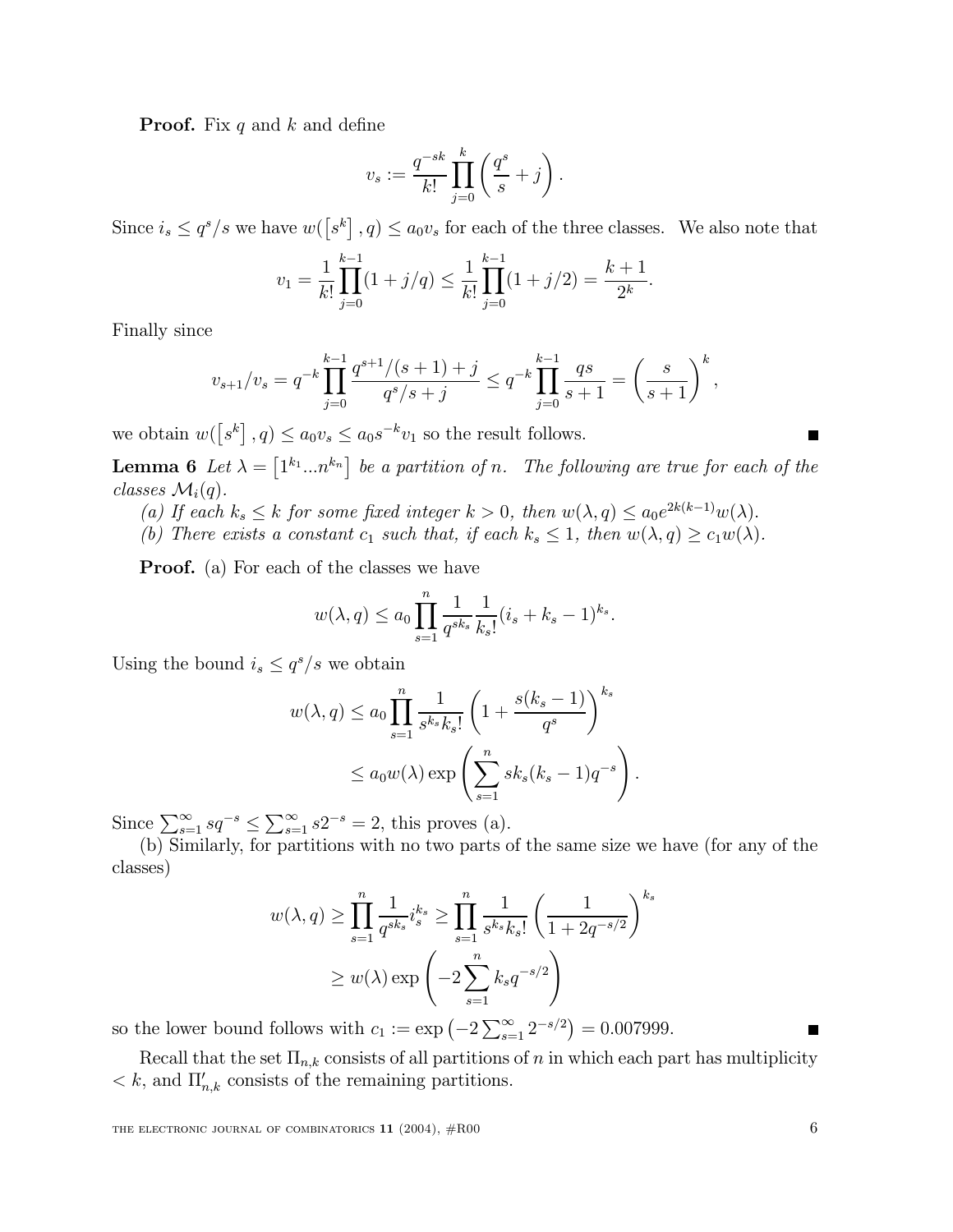**Proof.** Fix q and k and define

$$
v_s := \frac{q^{-sk}}{k!} \prod_{j=0}^k \left(\frac{q^s}{s} + j\right).
$$

Since  $i_s \leq q^s/s$  we have  $w([s^k], q) \leq a_0v_s$  for each of the three classes. We also note that

$$
v_1 = \frac{1}{k!} \prod_{j=0}^{k-1} (1+j/q) \le \frac{1}{k!} \prod_{j=0}^{k-1} (1+j/2) = \frac{k+1}{2^k}.
$$

Finally since

$$
v_{s+1}/v_s = q^{-k} \prod_{j=0}^{k-1} \frac{q^{s+1}/(s+1)+j}{q^s/s+j} \le q^{-k} \prod_{j=0}^{k-1} \frac{qs}{s+1} = \left(\frac{s}{s+1}\right)^k,
$$

we obtain  $w([s^k], q) \le a_0 v_s \le a_0 s^{-k} v_1$  so the result follows.

**Lemma 6** Let  $\lambda = \begin{bmatrix} 1^{k_1} ... n^{k_n} \end{bmatrix}$  be a partition of n. The following are true for each of the classes  $\mathcal{M}_i(q)$ .

- (a) If each  $k_s \leq k$  for some fixed integer  $k > 0$ , then  $w(\lambda, q) \leq a_0 e^{2k(k-1)} w(\lambda)$ .
- (b) There exists a constant  $c_1$  such that, if each  $k_s \leq 1$ , then  $w(\lambda, q) \geq c_1w(\lambda)$ .

**Proof.** (a) For each of the classes we have

$$
w(\lambda,q)\leq a_0\prod_{s=1}^n\frac{1}{q^{sk_s}}\frac{1}{k_s!}(i_s+k_s-1)^{k_s}.
$$

Using the bound  $i_s \leq q^s/s$  we obtain

$$
w(\lambda, q) \le a_0 \prod_{s=1}^n \frac{1}{s^{k_s} k_s!} \left( 1 + \frac{s(k_s - 1)}{q^s} \right)^{k_s}
$$
  

$$
\le a_0 w(\lambda) \exp\left( \sum_{s=1}^n s k_s (k_s - 1) q^{-s} \right).
$$

Since  $\sum_{s=1}^{\infty} sq^{-s} \leq \sum_{s=1}^{\infty} s2^{-s} = 2$ , this proves (a).

(b) Similarly, for partitions with no two parts of the same size we have (for any of the classes)

$$
w(\lambda, q) \ge \prod_{s=1}^{n} \frac{1}{q^{sk_s}} i_s^{k_s} \ge \prod_{s=1}^{n} \frac{1}{s^{k_s} k_s!} \left(\frac{1}{1 + 2q^{-s/2}}\right)^{k_s}
$$
  

$$
\ge w(\lambda) \exp\left(-2 \sum_{s=1}^{n} k_s q^{-s/2}\right)
$$

so the lower bound follows with  $c_1 := \exp(-2 \sum_{s=1}^{\infty} 2^{-s/2}) = 0.007999$ .

Recall that the set  $\Pi_{n,k}$  consists of all partitions of n in which each part has multiplicity  $\langle k, \text{ and } \Pi'_{n,k} \rangle$  consists of the remaining partitions.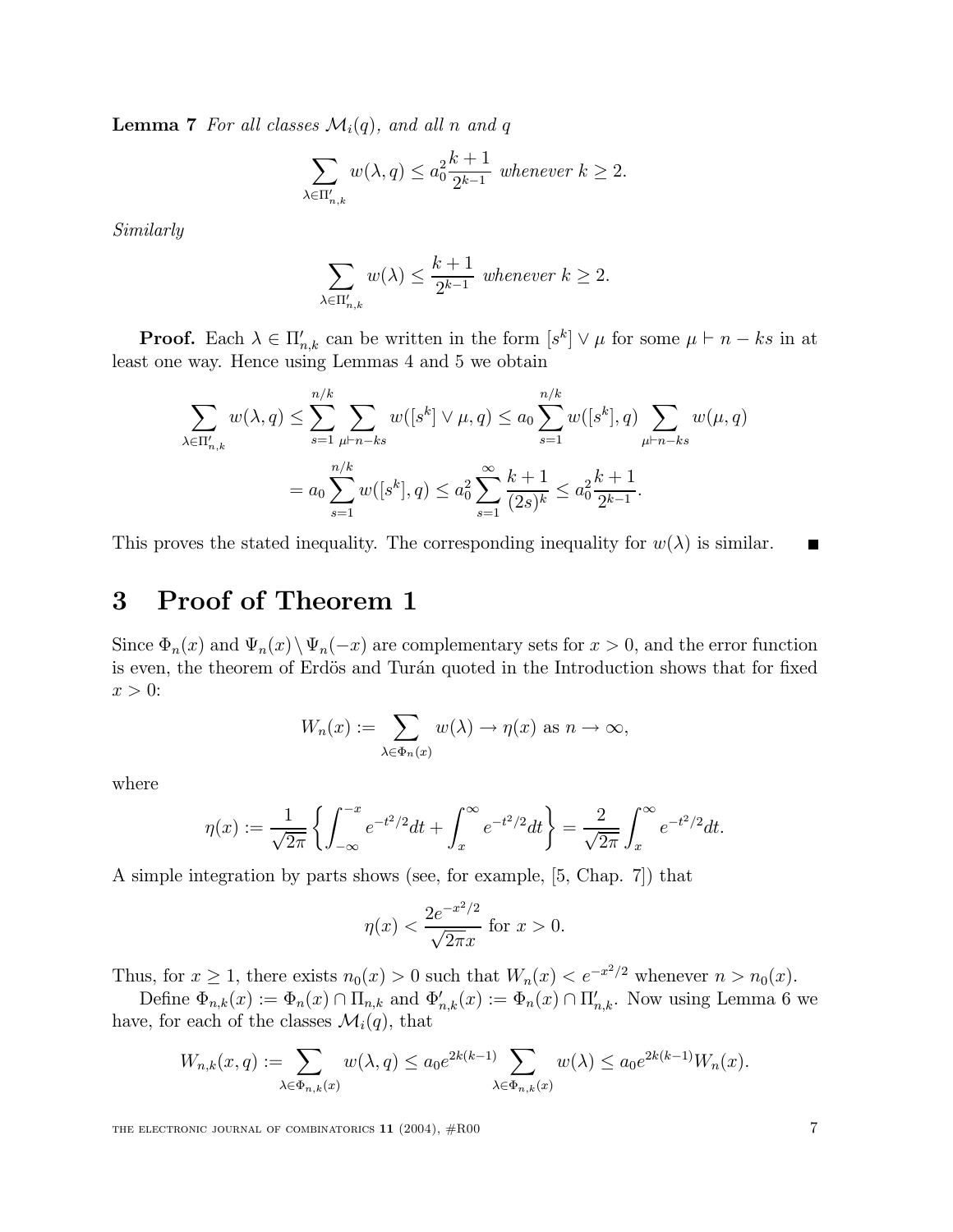**Lemma 7** For all classes  $\mathcal{M}_i(q)$ , and all n and q

$$
\sum_{\lambda \in \Pi'_{n,k}} w(\lambda, q) \le a_0^2 \frac{k+1}{2^{k-1}} \text{ whenever } k \ge 2.
$$

Similarly

$$
\sum_{\lambda \in \Pi'_{n,k}} w(\lambda) \le \frac{k+1}{2^{k-1}} \text{ whenever } k \ge 2.
$$

**Proof.** Each  $\lambda \in \Pi'_{n,k}$  can be written in the form  $[s^k] \vee \mu$  for some  $\mu \vdash n - ks$  in at least one way. Hence using Lemmas 4 and 5 we obtain

$$
\sum_{\lambda \in \Pi'_{n,k}} w(\lambda, q) \le \sum_{s=1}^{n/k} \sum_{\mu \vdash n - ks} w([s^k] \vee \mu, q) \le a_0 \sum_{s=1}^{n/k} w([s^k], q) \sum_{\mu \vdash n - ks} w(\mu, q)
$$

$$
= a_0 \sum_{s=1}^{n/k} w([s^k], q) \le a_0^2 \sum_{s=1}^{\infty} \frac{k+1}{(2s)^k} \le a_0^2 \frac{k+1}{2^{k-1}}.
$$

This proves the stated inequality. The corresponding inequality for  $w(\lambda)$  is similar.

### 3 Proof of Theorem 1

Since  $\Phi_n(x)$  and  $\Psi_n(x)\setminus\Psi_n(-x)$  are complementary sets for  $x > 0$ , and the error function is even, the theorem of Erdös and Turán quoted in the Introduction shows that for fixed  $x > 0$ :

$$
W_n(x) := \sum_{\lambda \in \Phi_n(x)} w(\lambda) \to \eta(x) \text{ as } n \to \infty,
$$

where

$$
\eta(x) := \frac{1}{\sqrt{2\pi}} \left\{ \int_{-\infty}^{-x} e^{-t^2/2} dt + \int_x^{\infty} e^{-t^2/2} dt \right\} = \frac{2}{\sqrt{2\pi}} \int_x^{\infty} e^{-t^2/2} dt.
$$

A simple integration by parts shows (see, for example, [5, Chap. 7]) that

$$
\eta(x) < \frac{2e^{-x^2/2}}{\sqrt{2\pi}x}
$$
 for  $x > 0$ .

Thus, for  $x \ge 1$ , there exists  $n_0(x) > 0$  such that  $W_n(x) < e^{-x^2/2}$  whenever  $n > n_0(x)$ .

Define  $\Phi_{n,k}(x) := \Phi_n(x) \cap \Pi_{n,k}$  and  $\Phi'_{n,k}(x) := \Phi_n(x) \cap \Pi'_{n,k}$ . Now using Lemma 6 we have, for each of the classes  $\mathcal{M}_i(q)$ , that

$$
W_{n,k}(x,q) := \sum_{\lambda \in \Phi_{n,k}(x)} w(\lambda,q) \le a_0 e^{2k(k-1)} \sum_{\lambda \in \Phi_{n,k}(x)} w(\lambda) \le a_0 e^{2k(k-1)} W_n(x).
$$

THE ELECTRONIC JOURNAL OF COMBINATORICS  $11$  (2004),  $#R00$  7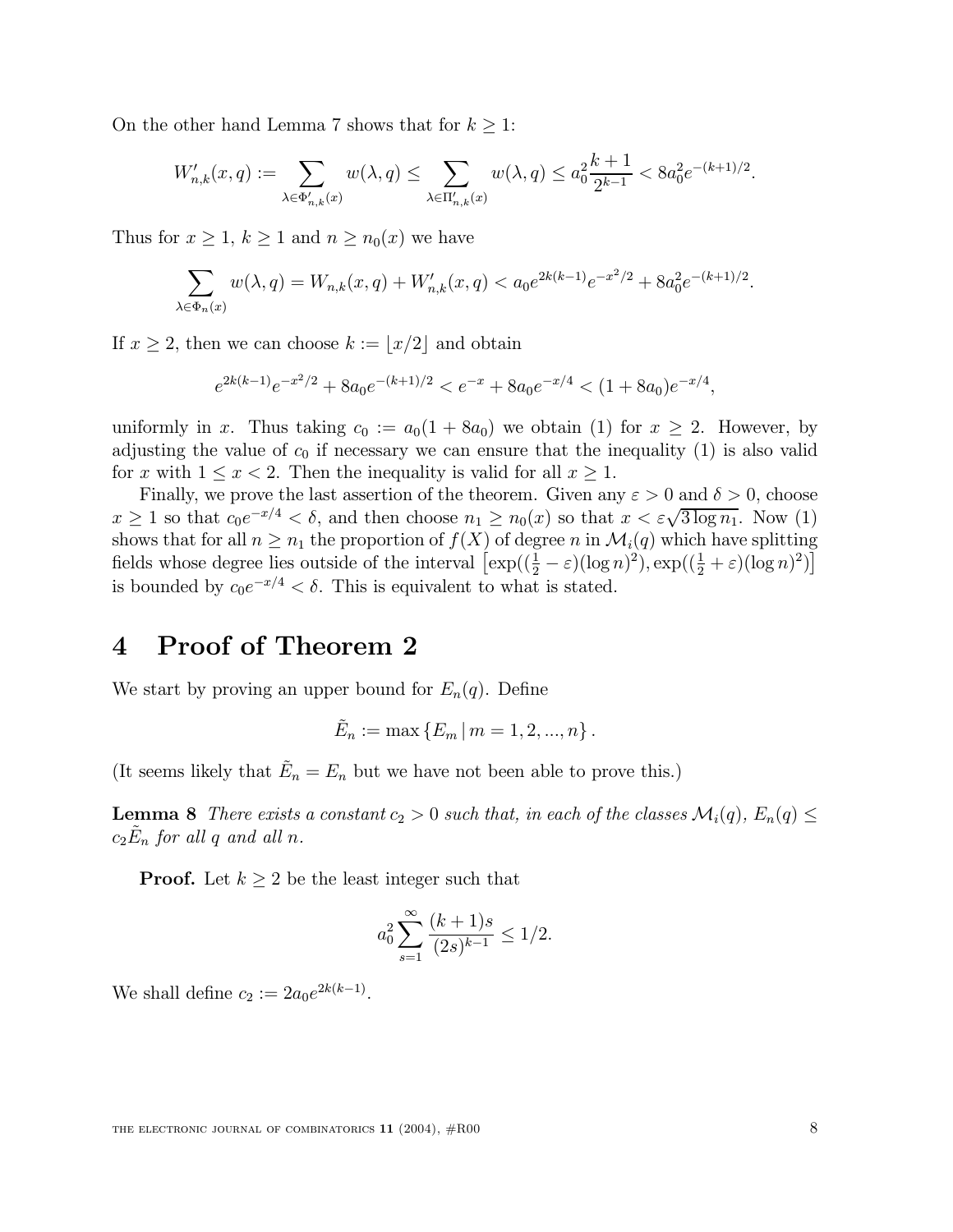On the other hand Lemma 7 shows that for  $k \geq 1$ :

$$
W'_{n,k}(x,q) := \sum_{\lambda \in \Phi'_{n,k}(x)} w(\lambda,q) \le \sum_{\lambda \in \Pi'_{n,k}(x)} w(\lambda,q) \le a_0^2 \frac{k+1}{2^{k-1}} < 8a_0^2 e^{-(k+1)/2}.
$$

Thus for  $x \geq 1$ ,  $k \geq 1$  and  $n \geq n_0(x)$  we have

$$
\sum_{\lambda \in \Phi_n(x)} w(\lambda, q) = W_{n,k}(x, q) + W'_{n,k}(x, q) < a_0 e^{2k(k-1)} e^{-x^2/2} + 8a_0^2 e^{-(k+1)/2}
$$

If  $x \geq 2$ , then we can choose  $k := \lfloor x/2 \rfloor$  and obtain

$$
e^{2k(k-1)}e^{-x^2/2} + 8a_0e^{-(k+1)/2} < e^{-x} + 8a_0e^{-x/4} < (1+8a_0)e^{-x/4},
$$

uniformly in x. Thus taking  $c_0 := a_0(1 + 8a_0)$  we obtain (1) for  $x \geq 2$ . However, by adjusting the value of  $c_0$  if necessary we can ensure that the inequality (1) is also valid for x with  $1 \leq x < 2$ . Then the inequality is valid for all  $x \geq 1$ .

Finally, we prove the last assertion of the theorem. Given any  $\varepsilon > 0$  and  $\delta > 0$ , choose  $x \geq 1$  so that  $c_0e^{-x/4} < \delta$ , and then choose  $n_1 \geq n_0(x)$  so that  $x < \varepsilon \sqrt{3 \log n_1}$ . Now (1) shows that for all  $n \geq n_1$  the proportion of  $f(X)$  of degree n in  $\mathcal{M}_i(q)$  which have splitting fields whose degree lies outside of the interval  $\left[\exp((\frac{1}{2}-\varepsilon)(\log n)^2), \exp((\frac{1}{2}+\varepsilon)(\log n)^2)\right]$ is bounded by  $c_0e^{-x/4} < \delta$ . This is equivalent to what is stated.

#### 4 Proof of Theorem 2

We start by proving an upper bound for  $E_n(q)$ . Define

$$
\tilde{E}_n := \max\left\{E_m \,|\, m=1,2,...,n\right\}.
$$

(It seems likely that  $\tilde{E}_n = E_n$  but we have not been able to prove this.)

**Lemma 8** There exists a constant  $c_2 > 0$  such that, in each of the classes  $\mathcal{M}_i(q)$ ,  $E_n(q) \leq$  $c_2\tilde{E}_n$  for all q and all n.

**Proof.** Let  $k \geq 2$  be the least integer such that

$$
a_0^2 \sum_{s=1}^{\infty} \frac{(k+1)s}{(2s)^{k-1}} \le 1/2.
$$

We shall define  $c_2 := 2a_0e^{2k(k-1)}$ .

: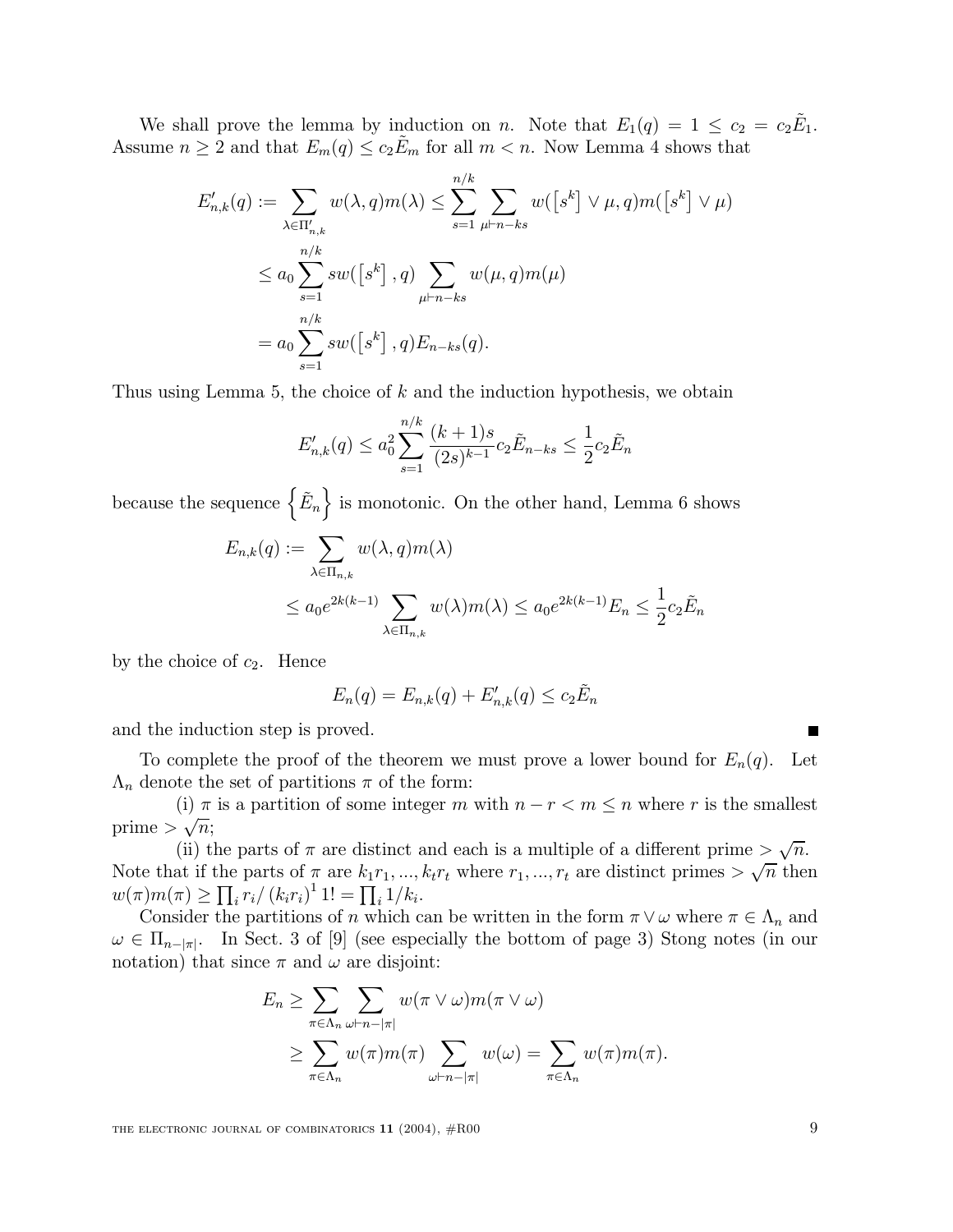We shall prove the lemma by induction on n. Note that  $E_1(q) = 1 \le c_2 = c_2 \tilde{E}_1$ . Assume  $n \geq 2$  and that  $E_m(q) \leq c_2 \tilde{E}_m$  for all  $m < n$ . Now Lemma 4 shows that

$$
E'_{n,k}(q) := \sum_{\lambda \in \Pi'_{n,k}} w(\lambda, q) m(\lambda) \le \sum_{s=1}^{n/k} \sum_{\mu \vdash n - ks} w([s^k] \vee \mu, q) m([s^k] \vee \mu)
$$
  

$$
\le a_0 \sum_{s=1}^{n/k} sw([s^k], q) \sum_{\mu \vdash n - ks} w(\mu, q) m(\mu)
$$
  

$$
= a_0 \sum_{s=1}^{n/k} sw([s^k], q) E_{n-ks}(q).
$$

Thus using Lemma 5, the choice of  $k$  and the induction hypothesis, we obtain

$$
E'_{n,k}(q) \le a_0^2 \sum_{s=1}^{n/k} \frac{(k+1)s}{(2s)^{k-1}} c_2 \tilde{E}_{n-ks} \le \frac{1}{2} c_2 \tilde{E}_n
$$

because the sequence  $\{\tilde{E}_n\}$  is monotonic. On the other hand, Lemma 6 shows

$$
E_{n,k}(q) := \sum_{\lambda \in \Pi_{n,k}} w(\lambda, q) m(\lambda)
$$
  

$$
\leq a_0 e^{2k(k-1)} \sum_{\lambda \in \Pi_{n,k}} w(\lambda) m(\lambda) \leq a_0 e^{2k(k-1)} E_n \leq \frac{1}{2} c_2 \tilde{E}_n
$$

by the choice of  $c_2$ . Hence

$$
E_n(q) = E_{n,k}(q) + E'_{n,k}(q) \le c_2 \tilde{E}_n
$$

and the induction step is proved.

To complete the proof of the theorem we must prove a lower bound for  $E_n(q)$ . Let  $\Lambda_n$  denote the set of partitions  $\pi$  of the form:

(i)  $\pi$  is a partition of some integer  $m$  with  $n - r < m \leq n$  where  $r$  is the smallest prime  $>\sqrt{n}$ ;

(ii) the parts of  $\pi$  are distinct and each is a multiple of a different prime  $\frac{\sqrt{n}}{n}$ . Note that if the parts of  $\pi$  are  $k_1r_1, ..., k_tr_t$  where  $r_1, ..., r_t$  are distinct primes  $> \sqrt{n}$  then  $w(\pi)m(\pi) \geq \prod_i r_i / (k_i r_i)^1 1! = \prod_i 1/k_i.$ 

Consider the partitions of n which can be written in the form  $\pi \vee \omega$  where  $\pi \in \Lambda_n$  and  $\omega \in \Pi_{n-|\pi|}$ . In Sect. 3 of [9] (see especially the bottom of page 3) Stong notes (in our notation) that since  $\pi$  and  $\omega$  are disjoint:

$$
E_n \geq \sum_{\pi \in \Lambda_n} \sum_{\omega \vdash n - |\pi|} w(\pi \vee \omega) m(\pi \vee \omega)
$$
  
 
$$
\geq \sum_{\pi \in \Lambda_n} w(\pi) m(\pi) \sum_{\omega \vdash n - |\pi|} w(\omega) = \sum_{\pi \in \Lambda_n} w(\pi) m(\pi).
$$

THE ELECTRONIC JOURNAL OF COMBINATORICS  $11$  (2004),  $#R00$  9